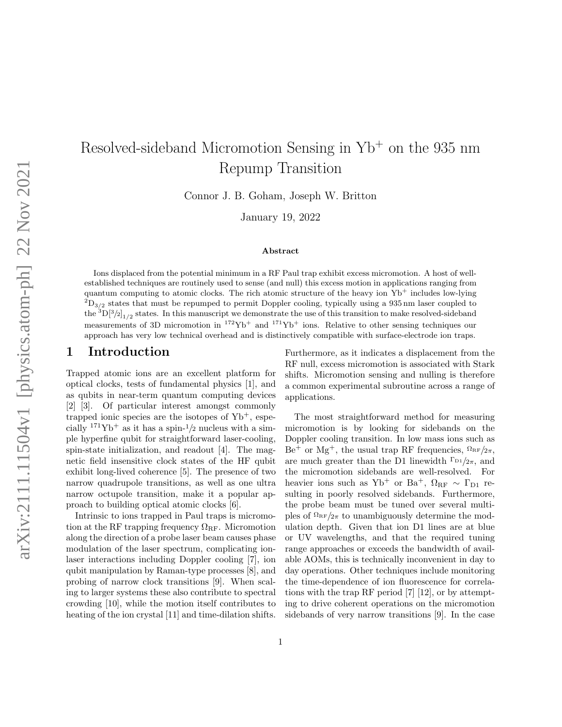# Resolved-sideband Micromotion Sensing in Yb<sup>+</sup> on the 935 nm Repump Transition

Connor J. B. Goham, Joseph W. Britton

January 19, 2022

#### Abstract

Ions displaced from the potential minimum in a RF Paul trap exhibit excess micromotion. A host of wellestablished techniques are routinely used to sense (and null) this excess motion in applications ranging from quantum computing to atomic clocks. The rich atomic structure of the heavy ion  $Yb^+$  includes low-lying  ${}^{2}D_{3/2}$  states that must be repumped to permit Doppler cooling, typically using a 935 nm laser coupled to the  ${}^{3}D[{}^{3}/2]_{1/2}$  states. In this manuscript we demonstrate the use of this transition to make resolved-sideband measurements of 3D micromotion in  $172\text{Yb}^+$  and  $171\text{Yb}^+$  ions. Relative to other sensing techniques our approach has very low technical overhead and is distinctively compatible with surface-electrode ion traps.

#### 1 Introduction

Trapped atomic ions are an excellent platform for optical clocks, tests of fundamental physics [\[1\]](#page-6-0), and as qubits in near-term quantum computing devices [\[2\]](#page-6-1) [\[3\]](#page-6-2). Of particular interest amongst commonly trapped ionic species are the isotopes of  $Yb^+$ , especially  $171\text{Yb}^+$  as it has a spin- $1/2$  nucleus with a simple hyperfine qubit for straightforward laser-cooling, spin-state initialization, and readout [\[4\]](#page-6-3). The magnetic field insensitive clock states of the HF qubit exhibit long-lived coherence [\[5\]](#page-6-4). The presence of two narrow quadrupole transitions, as well as one ultra narrow octupole transition, make it a popular approach to building optical atomic clocks [\[6\]](#page-6-5).

Intrinsic to ions trapped in Paul traps is micromotion at the RF trapping frequency  $\Omega_{\rm RF}$ . Micromotion along the direction of a probe laser beam causes phase modulation of the laser spectrum, complicating ionlaser interactions including Doppler cooling [\[7\]](#page-6-6), ion qubit manipulation by Raman-type processes [\[8\]](#page-6-7), and probing of narrow clock transitions [\[9\]](#page-7-0). When scaling to larger systems these also contribute to spectral crowding [\[10\]](#page-7-1), while the motion itself contributes to heating of the ion crystal [\[11\]](#page-7-2) and time-dilation shifts. Furthermore, as it indicates a displacement from the RF null, excess micromotion is associated with Stark shifts. Micromotion sensing and nulling is therefore a common experimental subroutine across a range of applications.

The most straightforward method for measuring micromotion is by looking for sidebands on the Doppler cooling transition. In low mass ions such as  $Be^+$  or Mg<sup>+</sup>, the usual trap RF frequencies,  $\Omega_{RF}/2\pi$ , are much greater than the D1 linewidth  $\Gamma_{D_1/2\pi}$ , and the micromotion sidebands are well-resolved. For heavier ions such as Yb<sup>+</sup> or Ba<sup>+</sup>,  $\Omega_{\rm RF} \sim \Gamma_{\rm D1}$  resulting in poorly resolved sidebands. Furthermore, the probe beam must be tuned over several multiples of  $\Omega_{RF}/2\pi$  to unambiguously determine the modulation depth. Given that ion D1 lines are at blue or UV wavelengths, and that the required tuning range approaches or exceeds the bandwidth of available AOMs, this is technically inconvenient in day to day operations. Other techniques include monitoring the time-dependence of ion fluorescence for correlations with the trap RF period [\[7\]](#page-6-6) [\[12\]](#page-7-3), or by attempting to drive coherent operations on the micromotion sidebands of very narrow transitions [\[9\]](#page-7-0). In the case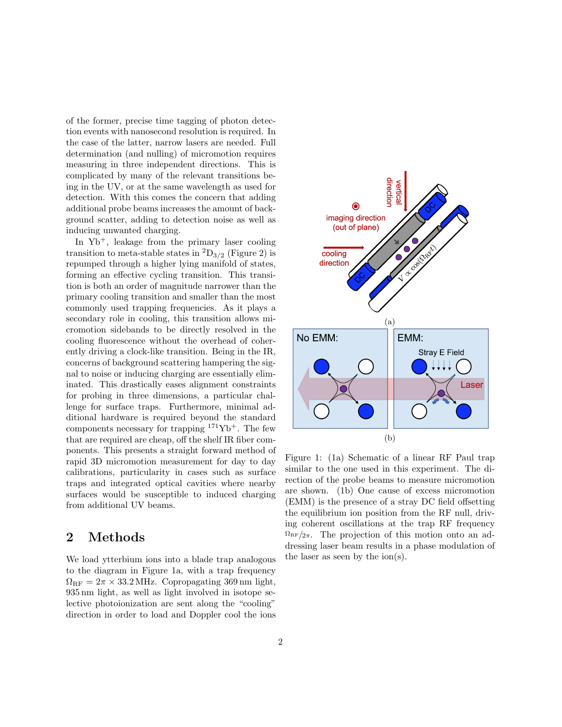of the former, precise time tagging of photon detection events with nanosecond resolution is required. In the case of the latter, narrow lasers are needed. Full determination (and nulling) of micromotion requires measuring in three independent directions. This is complicated by many of the relevant transitions being in the UV, or at the same wavelength as used for detection. With this comes the concern that adding additional probe beams increases the amount of background scatter, adding to detection noise as well as inducing unwanted charging.

In Yb+, leakage from the primary laser cooling transition to meta-stable states in  ${}^{2}D_{3/2}$  (Figure [2\)](#page-2-0) is repumped through a higher lying manifold of states, forming an effective cycling transition. This transition is both an order of magnitude narrower than the primary cooling transition and smaller than the most commonly used trapping frequencies. As it plays a secondary role in cooling, this transition allows micromotion sidebands to be directly resolved in the cooling fluorescence without the overhead of coherently driving a clock-like transition. Being in the IR, concerns of background scattering hampering the signal to noise or inducing charging are essentially eliminated. This drastically eases alignment constraints for probing in three dimensions, a particular challenge for surface traps. Furthermore, minimal additional hardware is required beyond the standard components necessary for trapping  $171\text{Yb}^+$ . The few that are required are cheap, off the shelf IR fiber components. This presents a straight forward method of rapid 3D micromotion measurement for day to day calibrations, particularity in cases such as surface traps and integrated optical cavities where nearby surfaces would be susceptible to induced charging from additional UV beams.

# 2 Methods

We load ytterbium ions into a blade trap analogous to the diagram in Figure [1a,](#page-1-0) with a trap frequency  $\Omega_{\rm RF} = 2\pi \times 33.2 \text{ MHz}$ . Copropagating 369 nm light, 935 nm light, as well as light involved in isotope selective photoionization are sent along the "cooling" direction in order to load and Doppler cool the ions

<span id="page-1-0"></span>

Figure 1: [\(1a\)](#page-1-0) Schematic of a linear RF Paul trap similar to the one used in this experiment. The direction of the probe beams to measure micromotion are shown. [\(1b\)](#page-1-0) One cause of excess micromotion (EMM) is the presence of a stray DC field offsetting the equilibrium ion position from the RF null, driving coherent oscillations at the trap RF frequency  $\Omega_{\rm RF}/2\pi$ . The projection of this motion onto an addressing laser beam results in a phase modulation of the laser as seen by the ion(s).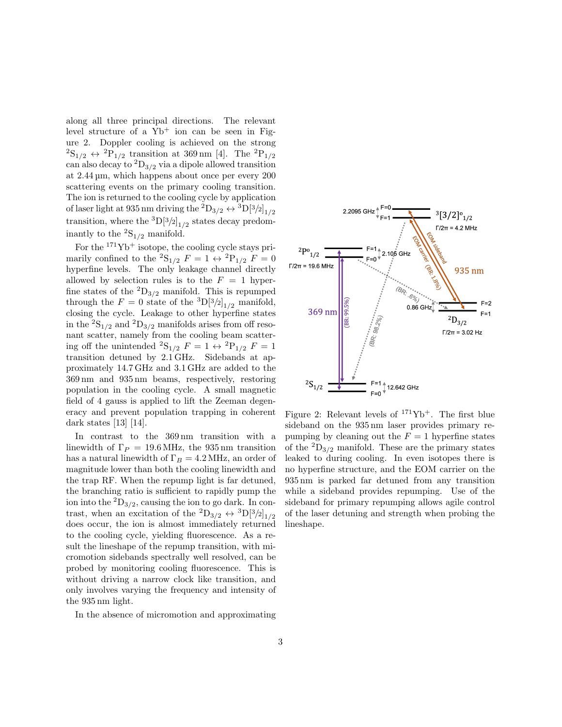along all three principal directions. The relevant level structure of a  $Yb<sup>+</sup>$  ion can be seen in Figure [2.](#page-2-0) Doppler cooling is achieved on the strong  ${}^{2}\text{S}_{1/2} \leftrightarrow {}^{2}\text{P}_{1/2}$  transition at 369 nm [\[4\]](#page-6-3). The  ${}^{2}\text{P}_{1/2}$ can also decay to  ${}^{2}D_{3/2}$  via a dipole allowed transition at 2.44 µm, which happens about once per every 200 scattering events on the primary cooling transition. The ion is returned to the cooling cycle by application of laser light at 935 nm driving the  ${}^{2}D_{3/2} \leftrightarrow {}^{3}D[{^{3}/2}]_{1/2}$ transition, where the  ${}^{3}D[{}^{3}/{}_{2}]_{1/2}$  states decay predominantly to the  ${}^{2}S_{1/2}$  manifold.

For the  $171\text{Yb}^+$  isotope, the cooling cycle stays primarily confined to the  ${}^2S_{1/2}$   $F = 1 \leftrightarrow {}^2P_{1/2}$   $F = 0$ hyperfine levels. The only leakage channel directly allowed by selection rules is to the  $F = 1$  hyperfine states of the  ${}^{2}D_{3/2}$  manifold. This is repumped through the  $F = 0$  state of the  ${}^{3}D[{}^{3}/2]_{1/2}$  manifold, closing the cycle. Leakage to other hyperfine states in the  ${\rm ^2S_{1/2}}$  and  ${\rm ^2D_{3/2}}$  manifolds arises from off resonant scatter, namely from the cooling beam scattering off the unintended  ${}^{2}S_{1/2}$   $F = 1 \leftrightarrow {}^{2}P_{1/2}$   $F = 1$ transition detuned by 2.1 GHz. Sidebands at approximately 14.7 GHz and 3.1 GHz are added to the 369 nm and 935 nm beams, respectively, restoring population in the cooling cycle. A small magnetic field of 4 gauss is applied to lift the Zeeman degeneracy and prevent population trapping in coherent dark states [\[13\]](#page-7-4) [\[14\]](#page-7-5).

In contrast to the 369 nm transition with a linewidth of  $\Gamma_P = 19.6 \text{ MHz}$ , the 935 nm transition has a natural linewidth of  $\Gamma_B = 4.2 \text{ MHz}$ , an order of magnitude lower than both the cooling linewidth and the trap RF. When the repump light is far detuned, the branching ratio is sufficient to rapidly pump the ion into the  ${}^{2}D_{3/2}$ , causing the ion to go dark. In contrast, when an excitation of the  ${}^{2}D_{3/2} \leftrightarrow {}^{3}D[{}^{3}/2]_{1/2}$ does occur, the ion is almost immediately returned to the cooling cycle, yielding fluorescence. As a result the lineshape of the repump transition, with micromotion sidebands spectrally well resolved, can be probed by monitoring cooling fluorescence. This is without driving a narrow clock like transition, and only involves varying the frequency and intensity of the 935 nm light.

In the absence of micromotion and approximating

<span id="page-2-0"></span>

Figure 2: Relevant levels of  $171Yb^+$ . The first blue sideband on the 935 nm laser provides primary repumping by cleaning out the  $F = 1$  hyperfine states of the  ${}^{2}D_{3/2}$  manifold. These are the primary states leaked to during cooling. In even isotopes there is no hyperfine structure, and the EOM carrier on the 935 nm is parked far detuned from any transition while a sideband provides repumping. Use of the sideband for primary repumping allows agile control of the laser detuning and strength when probing the lineshape.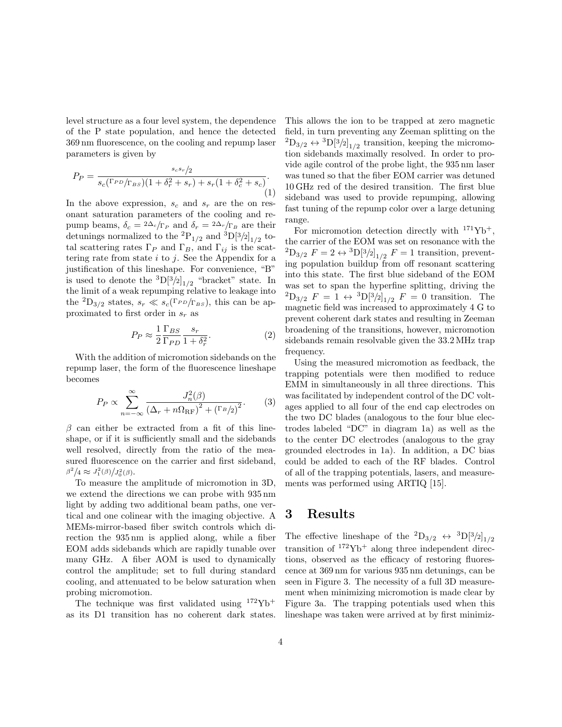level structure as a four level system, the dependence of the P state population, and hence the detected 369 nm fluorescence, on the cooling and repump laser parameters is given by

<span id="page-3-1"></span>
$$
P_P = \frac{s_c s_r / 2}{s_c (\Gamma_{PD} / \Gamma_{BS}) (1 + \delta_r^2 + s_r) + s_r (1 + \delta_c^2 + s_c)}.
$$
\n(1)

In the above expression,  $s_c$  and  $s_r$  are the on resonant saturation parameters of the cooling and repump beams,  $\delta_c = 2\Delta_c/\Gamma_P$  and  $\delta_r = 2\Delta_r/\Gamma_B$  are their detunings normalized to the <sup>2</sup>P<sub>1/2</sub> and <sup>3</sup>D[<sup>3</sup>/2]<sub>1/2</sub> total scattering rates  $\Gamma_P$  and  $\Gamma_B$ , and  $\Gamma_{ij}$  is the scattering rate from state  $i$  to  $j$ . See the Appendix for a justification of this lineshape. For convenience, "B" is used to denote the  ${}^{3}D[{}^{3}/{}_{2}]_{1/2}$  "bracket" state. In the limit of a weak repumping relative to leakage into the <sup>2</sup>D<sub>3/2</sub> states,  $s_r \ll s_c$ (Γ<sub>PD</sub>/<sub>Γ<sub>BS</sub>), this can be ap-</sub> proximated to first order in  $s_r$  as

$$
P_P \approx \frac{1}{2} \frac{\Gamma_{BS}}{\Gamma_{PD}} \frac{s_r}{1 + \delta_r^2}.\tag{2}
$$

With the addition of micromotion sidebands on the repump laser, the form of the fluorescence lineshape becomes

<span id="page-3-0"></span>
$$
P_P \propto \sum_{n=-\infty}^{\infty} \frac{J_n^2(\beta)}{\left(\Delta_r + n\Omega_{\rm RF}\right)^2 + \left(\Gamma_B/2\right)^2}.\tag{3}
$$

 $\beta$  can either be extracted from a fit of this lineshape, or if it is sufficiently small and the sidebands well resolved, directly from the ratio of the measured fluorescence on the carrier and first sideband,  $\beta^2/4 \approx J_1^2(\beta)/J_0^2(\beta).$ 

To measure the amplitude of micromotion in 3D, we extend the directions we can probe with 935 nm light by adding two additional beam paths, one vertical and one colinear with the imaging objective. A MEMs-mirror-based fiber switch controls which direction the 935 nm is applied along, while a fiber EOM adds sidebands which are rapidly tunable over many GHz. A fiber AOM is used to dynamically control the amplitude; set to full during standard cooling, and attenuated to be below saturation when probing micromotion.

The technique was first validated using  $172\text{Yb}^+$ as its D1 transition has no coherent dark states. This allows the ion to be trapped at zero magnetic field, in turn preventing any Zeeman splitting on the  ${}^{2}D_{3/2} \leftrightarrow {}^{3}D[{}^{3}/2]_{1/2}$  transition, keeping the micromotion sidebands maximally resolved. In order to provide agile control of the probe light, the 935 nm laser was tuned so that the fiber EOM carrier was detuned 10 GHz red of the desired transition. The first blue sideband was used to provide repumping, allowing fast tuning of the repump color over a large detuning range.

For micromotion detection directly with  $171\text{Yb}^+$ , the carrier of the EOM was set on resonance with the  ${}^{2}D_{3/2} F = 2 \leftrightarrow {}^{3}D[{}^{3}/2]_{1/2} F = 1$  transition, preventing population buildup from off resonant scattering into this state. The first blue sideband of the EOM was set to span the hyperfine splitting, driving the  ${}^{2}D_{3/2}$   $F = 1 \leftrightarrow {}^{3}D[{}^{3}/2]_{1/2}$   $F = 0$  transition. The magnetic field was increased to approximately 4 G to prevent coherent dark states and resulting in Zeeman broadening of the transitions, however, micromotion sidebands remain resolvable given the 33.2 MHz trap frequency.

Using the measured micromotion as feedback, the trapping potentials were then modified to reduce EMM in simultaneously in all three directions. This was facilitated by independent control of the DC voltages applied to all four of the end cap electrodes on the two DC blades (analogous to the four blue electrodes labeled "DC" in diagram [1a\)](#page-1-0) as well as the to the center DC electrodes (analogous to the gray grounded electrodes in [1a\)](#page-1-0). In addition, a DC bias could be added to each of the RF blades. Control of all of the trapping potentials, lasers, and measurements was performed using ARTIQ [\[15\]](#page-7-6).

## 3 Results

The effective lineshape of the  ${}^{2}D_{3/2} \leftrightarrow {}^{3}D[{}^{3}/2]_{1/2}$ transition of  $172\text{Yb}^+$  along three independent directions, observed as the efficacy of restoring fluorescence at 369 nm for various 935 nm detunings, can be seen in Figure [3.](#page-4-0) The necessity of a full 3D measurement when minimizing micromotion is made clear by Figure [3a.](#page-4-0) The trapping potentials used when this lineshape was taken were arrived at by first minimiz-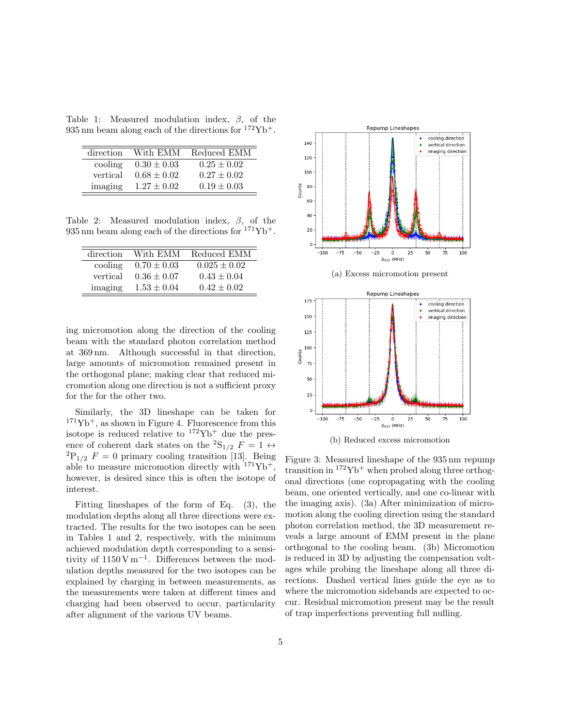<span id="page-4-1"></span>Table 1: Measured modulation index,  $\beta$ , of the 935 nm beam along each of the directions for  $172\text{Yb}^+$ .

| direction | With EMM        | Reduced EMM     |
|-----------|-----------------|-----------------|
| cooling   | $0.30 \pm 0.03$ | $0.25 \pm 0.02$ |
| vertical  | $0.68 \pm 0.02$ | $0.27 \pm 0.02$ |
| imaging   | $1.27 \pm 0.02$ | $0.19 \pm 0.03$ |
|           |                 |                 |

<span id="page-4-2"></span>Table 2: Measured modulation index,  $\beta$ , of the 935 nm beam along each of the directions for  $171\text{Yb}^+$ .

| direction | With EMM        | Reduced EMM      |
|-----------|-----------------|------------------|
| cooling   | $0.70 \pm 0.03$ | $0.025 \pm 0.02$ |
| vertical  | $0.36 \pm 0.07$ | $0.43 \pm 0.04$  |
| imaging   | $1.53 \pm 0.04$ | $0.42 \pm 0.02$  |

ing micromotion along the direction of the cooling beam with the standard photon correlation method at 369 nm. Although successful in that direction, large amounts of micromotion remained present in the orthogonal plane; making clear that reduced micromotion along one direction is not a sufficient proxy for the for the other two.

Similarly, the 3D lineshape can be taken for  $171\text{Yb}^+$ , as shown in Figure [4.](#page-5-0) Fluorescence from this isotope is reduced relative to  $172\text{Yb}^+$  due the presence of coherent dark states on the <sup>2</sup>S<sub>1/2</sub>  $F = 1 \leftrightarrow$  ${}^{2}P_{1/2}$  F = 0 primary cooling transition [\[13\]](#page-7-4). Being able to measure micromotion directly with  $171\text{Yb}^+$ , however, is desired since this is often the isotope of interest.

Fitting lineshapes of the form of Eq. [\(3\)](#page-3-0), the modulation depths along all three directions were extracted. The results for the two isotopes can be seen in Tables [1](#page-4-1) and [2,](#page-4-2) respectively, with the minimum achieved modulation depth corresponding to a sensitivity of  $1150 \text{ V m}^{-1}$ . Differences between the modulation depths measured for the two isotopes can be explained by charging in between measurements, as the measurements were taken at different times and charging had been observed to occur, particularity after alignment of the various UV beams.

<span id="page-4-0"></span>



Figure 3: Measured lineshape of the 935 nm repump transition in  $172\text{Yb}^+$  when probed along three orthogonal directions (one copropagating with the cooling beam, one oriented vertically, and one co-linear with the imaging axis). [\(3a\)](#page-4-0) After minimization of micromotion along the cooling direction using the standard photon correlation method, the 3D measurement reveals a large amount of EMM present in the plane orthogonal to the cooling beam. [\(3b\)](#page-4-0) Micromotion is reduced in 3D by adjusting the compensation voltages while probing the lineshape along all three directions. Dashed vertical lines guide the eye as to where the micromotion sidebands are expected to occur. Residual micromotion present may be the result of trap imperfections preventing full nulling.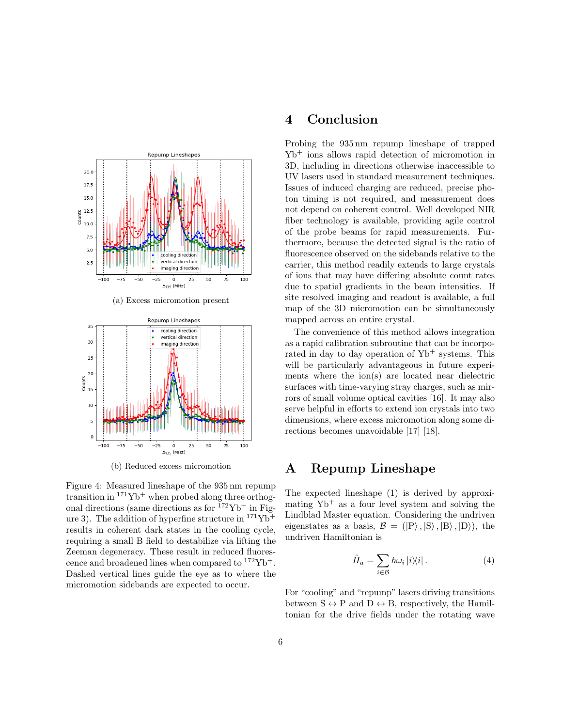<span id="page-5-0"></span>

(a) Excess micromotion present



(b) Reduced excess micromotion

Figure 4: Measured lineshape of the 935 nm repump transition in  $171\text{Yb}^+$  when probed along three orthogonal directions (same directions as for  $172\text{Yb}^+$  in Fig-ure [3\)](#page-4-0). The addition of hyperfine structure in  $171\text{Yb}^+$ results in coherent dark states in the cooling cycle, requiring a small B field to destabilize via lifting the Zeeman degeneracy. These result in reduced fluorescence and broadened lines when compared to  $172\text{Yb}^+$ . Dashed vertical lines guide the eye as to where the micromotion sidebands are expected to occur.

### 4 Conclusion

Probing the 935 nm repump lineshape of trapped Yb<sup>+</sup> ions allows rapid detection of micromotion in 3D, including in directions otherwise inaccessible to UV lasers used in standard measurement techniques. Issues of induced charging are reduced, precise photon timing is not required, and measurement does not depend on coherent control. Well developed NIR fiber technology is available, providing agile control of the probe beams for rapid measurements. Furthermore, because the detected signal is the ratio of fluorescence observed on the sidebands relative to the carrier, this method readily extends to large crystals of ions that may have differing absolute count rates due to spatial gradients in the beam intensities. If site resolved imaging and readout is available, a full map of the 3D micromotion can be simultaneously mapped across an entire crystal.

The convenience of this method allows integration as a rapid calibration subroutine that can be incorporated in day to day operation of  $Yb<sup>+</sup>$  systems. This will be particularly advantageous in future experiments where the ion(s) are located near dielectric surfaces with time-varying stray charges, such as mirrors of small volume optical cavities [\[16\]](#page-7-7). It may also serve helpful in efforts to extend ion crystals into two dimensions, where excess micromotion along some directions becomes unavoidable [\[17\]](#page-7-8) [\[18\]](#page-7-9).

# A Repump Lineshape

The expected lineshape [\(1\)](#page-3-1) is derived by approximating  $Yb^+$  as a four level system and solving the Lindblad Master equation. Considering the undriven eigenstates as a basis,  $\mathcal{B} = (|P\rangle, |S\rangle, |B\rangle, |D\rangle)$ , the undriven Hamiltonian is

$$
\hat{H}_a = \sum_{i \in \mathcal{B}} \hbar \omega_i |i\rangle\langle i| \,. \tag{4}
$$

For "cooling" and "repump" lasers driving transitions between  $S \leftrightarrow P$  and  $D \leftrightarrow B$ , respectively, the Hamiltonian for the drive fields under the rotating wave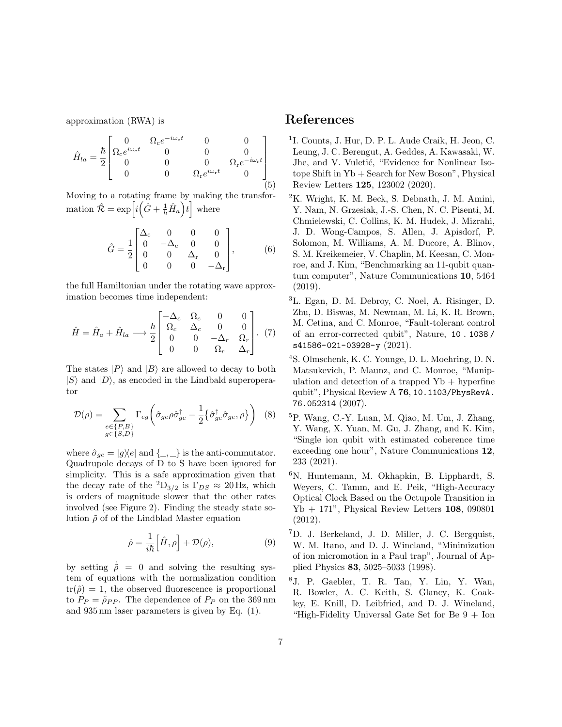approximation (RWA) is

$$
\hat{H}_{la} = \frac{\hbar}{2} \begin{bmatrix} 0 & \Omega_c e^{-i\omega_c t} & 0 & 0 \\ \Omega_c e^{i\omega_c t} & 0 & 0 & 0 \\ 0 & 0 & 0 & \Omega_r e^{-i\omega_r t} \\ 0 & 0 & \Omega_r e^{i\omega_r t} & 0 \end{bmatrix}
$$
(5)

Moving to a rotating frame by making the transformation  $\hat{\mathcal{R}} = \exp\left[i\left(\hat{G} + \frac{1}{\hbar}\hat{H}_a\right)t\right]$  where

$$
\hat{G} = \frac{1}{2} \begin{bmatrix} \Delta_{\rm c} & 0 & 0 & 0 \\ 0 & -\Delta_{\rm c} & 0 & 0 \\ 0 & 0 & \Delta_{\rm r} & 0 \\ 0 & 0 & 0 & -\Delta_{\rm r} \end{bmatrix}, \tag{6}
$$

the full Hamiltonian under the rotating wave approximation becomes time independent:

$$
\hat{H} = \hat{H}_a + \hat{H}_{la} \longrightarrow \frac{\hbar}{2} \begin{bmatrix} -\Delta_c & \Omega_c & 0 & 0\\ \Omega_c & \Delta_c & 0 & 0\\ 0 & 0 & -\Delta_r & \Omega_r\\ 0 & 0 & \Omega_r & \Delta_r \end{bmatrix} . (7)
$$

The states  $|P\rangle$  and  $|B\rangle$  are allowed to decay to both  $|S\rangle$  and  $|D\rangle$ , as encoded in the Lindbald superoperator

$$
\mathcal{D}(\rho) = \sum_{\substack{e \in \{P, B\} \\ g \in \{S, D\}}} \Gamma_{eg} \left( \hat{\sigma}_{ge} \rho \hat{\sigma}_{ge}^{\dagger} - \frac{1}{2} \{ \hat{\sigma}_{ge}^{\dagger} \hat{\sigma}_{ge}, \rho \} \right) \tag{8}
$$

where  $\hat{\sigma}_{ge} = |g\rangle\langle e|$  and  $\{\_ , \_ \}$  is the anti-commutator. Quadrupole decays of D to S have been ignored for simplicity. This is a safe approximation given that the decay rate of the <sup>2</sup>D<sub>3/2</sub> is  $\Gamma_{DS} \approx 20$  Hz, which is orders of magnitude slower that the other rates involved (see Figure [2\)](#page-2-0). Finding the steady state solution  $\tilde{\rho}$  of of the Lindblad Master equation

$$
\dot{\rho} = \frac{1}{i\hbar} \Big[ \hat{H}, \rho \Big] + \mathcal{D}(\rho), \tag{9}
$$

by setting  $\dot{\rho} = 0$  and solving the resulting system of equations with the normalization condition  $tr(\tilde{\rho}) = 1$ , the observed fluorescence is proportional to  $P_P = \tilde{\rho}_{PP}$ . The dependence of  $P_P$  on the 369 nm and 935 nm laser parameters is given by Eq. [\(1\)](#page-3-1).

### References

- <span id="page-6-0"></span>1 I. Counts, J. Hur, D. P. L. Aude Craik, H. Jeon, C. Leung, J. C. Berengut, A. Geddes, A. Kawasaki, W. Jhe, and V. Vuletić, "Evidence for Nonlinear Isotope Shift in Yb + Search for New Boson", [Physical](https://doi.org/10.1103/PhysRevLett.125.123002) Review Letters 125[, 123002 \(2020\).](https://doi.org/10.1103/PhysRevLett.125.123002)
- <span id="page-6-1"></span><sup>2</sup>K. Wright, K. M. Beck, S. Debnath, J. M. Amini, Y. Nam, N. Grzesiak, J.-S. Chen, N. C. Pisenti, M. Chmielewski, C. Collins, K. M. Hudek, J. Mizrahi, J. D. Wong-Campos, S. Allen, J. Apisdorf, P. Solomon, M. Williams, A. M. Ducore, A. Blinov, S. M. Kreikemeier, V. Chaplin, M. Keesan, C. Monroe, and J. Kim, "Benchmarking an 11-qubit quantum computer", [Nature Communications](https://doi.org/10.1038/s41467-019-13534-2) 10, 5464 [\(2019\).](https://doi.org/10.1038/s41467-019-13534-2)
- <span id="page-6-2"></span><sup>3</sup>L. Egan, D. M. Debroy, C. Noel, A. Risinger, D. Zhu, D. Biswas, M. Newman, M. Li, K. R. Brown, M. Cetina, and C. Monroe, "Fault-tolerant control of an error-corrected qubit", Nature, [10 . 1038 /](https://doi.org/10.1038/s41586-021-03928-y) [s41586-021-03928-y](https://doi.org/10.1038/s41586-021-03928-y) (2021).
- <span id="page-6-3"></span><sup>4</sup>S. Olmschenk, K. C. Younge, D. L. Moehring, D. N. Matsukevich, P. Maunz, and C. Monroe, "Manipulation and detection of a trapped  $Yb + hyperfine$ qubit", Physical Review A 76, [10.1103/PhysRevA.](https://doi.org/10.1103/PhysRevA.76.052314) [76.052314](https://doi.org/10.1103/PhysRevA.76.052314) (2007).
- <span id="page-6-4"></span><sup>5</sup>P. Wang, C.-Y. Luan, M. Qiao, M. Um, J. Zhang, Y. Wang, X. Yuan, M. Gu, J. Zhang, and K. Kim, "Single ion qubit with estimated coherence time exceeding one hour", [Nature Communications](https://doi.org/10.1038/s41467-020-20330-w) 12, [233 \(2021\).](https://doi.org/10.1038/s41467-020-20330-w)
- <span id="page-6-5"></span><sup>6</sup>N. Huntemann, M. Okhapkin, B. Lipphardt, S. Weyers, C. Tamm, and E. Peik, "High-Accuracy Optical Clock Based on the Octupole Transition in  $Yb + 171$ ", [Physical Review Letters](https://doi.org/10.1103/PhysRevLett.108.090801) 108, 090801 [\(2012\).](https://doi.org/10.1103/PhysRevLett.108.090801)
- <span id="page-6-6"></span><sup>7</sup>D. J. Berkeland, J. D. Miller, J. C. Bergquist, W. M. Itano, and D. J. Wineland, "Minimization of ion micromotion in a Paul trap", [Journal of Ap](https://doi.org/10.1063/1.367318)plied Physics 83[, 5025–5033 \(1998\).](https://doi.org/10.1063/1.367318)
- <span id="page-6-7"></span><sup>8</sup>J. P. Gaebler, T. R. Tan, Y. Lin, Y. Wan, R. Bowler, A. C. Keith, S. Glancy, K. Coakley, E. Knill, D. Leibfried, and D. J. Wineland, "High-Fidelity Universal Gate Set for Be  $9 +$  Ion